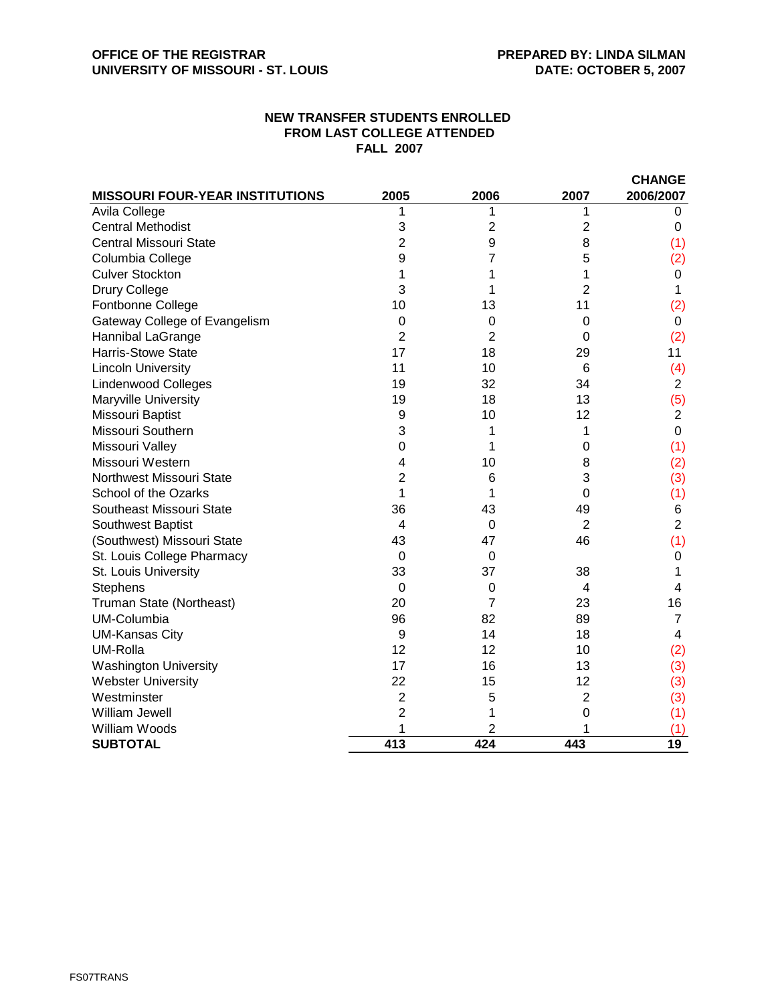## **NEW TRANSFER STUDENTS ENROLLED FROM LAST COLLEGE ATTENDED FALL 2007**

|                                        |                  |                  |                | <b>CHANGE</b>  |
|----------------------------------------|------------------|------------------|----------------|----------------|
| <b>MISSOURI FOUR-YEAR INSTITUTIONS</b> | 2005             | 2006             | 2007           | 2006/2007      |
| Avila College                          |                  | 1                | 1              | 0              |
| <b>Central Methodist</b>               | 3                | 2                | 2              | 0              |
| <b>Central Missouri State</b>          | 2                | 9                | 8              | (1)            |
| Columbia College                       | 9                | 7                | 5              | (2)            |
| <b>Culver Stockton</b>                 | 1                | 1                | 1              | 0              |
| Drury College                          | 3                | 1                | $\overline{2}$ | 1              |
| Fontbonne College                      | 10               | 13               | 11             | (2)            |
| Gateway College of Evangelism          | 0                | 0                | 0              | 0              |
| Hannibal LaGrange                      | $\overline{2}$   | $\overline{2}$   | $\Omega$       | (2)            |
| Harris-Stowe State                     | 17               | 18               | 29             | 11             |
| <b>Lincoln University</b>              | 11               | 10               | 6              | (4)            |
| <b>Lindenwood Colleges</b>             | 19               | 32               | 34             | $\overline{c}$ |
| Maryville University                   | 19               | 18               | 13             | (5)            |
| Missouri Baptist                       | 9                | 10               | 12             | $\overline{2}$ |
| Missouri Southern                      | 3                | 1                | 1              | $\Omega$       |
| Missouri Valley                        | 0                | 1                | 0              | (1)            |
| Missouri Western                       | 4                | 10               | 8              | (2)            |
| Northwest Missouri State               | 2                | 6                | 3              | (3)            |
| School of the Ozarks                   | 1                | 1                | 0              | (1)            |
| Southeast Missouri State               | 36               | 43               | 49             | 6              |
| Southwest Baptist                      | 4                | $\Omega$         | $\overline{2}$ | $\overline{2}$ |
| (Southwest) Missouri State             | 43               | 47               | 46             | (1)            |
| St. Louis College Pharmacy             | $\Omega$         | $\Omega$         |                | 0              |
| St. Louis University                   | 33               | 37               | 38             | 1              |
| Stephens                               | 0                | 0                | 4              | 4              |
| Truman State (Northeast)               | 20               | 7                | 23             | 16             |
| <b>UM-Columbia</b>                     | 96               | 82               | 89             | $\overline{7}$ |
| <b>UM-Kansas City</b>                  | 9                | 14               | 18             | 4              |
| UM-Rolla                               | 12               | 12               | 10             | (2)            |
| <b>Washington University</b>           | 17               | 16               | 13             | (3)            |
| <b>Webster University</b>              | 22               | 15               | 12             | (3)            |
| Westminster                            | $\overline{2}$   | 5                | $\overline{2}$ | (3)            |
| William Jewell                         | $\overline{2}$   | 1                | 0              | (1)            |
| William Woods                          |                  | 2                |                | (1)            |
| <b>SUBTOTAL</b>                        | $\overline{413}$ | $\overline{424}$ | 443            | 19             |